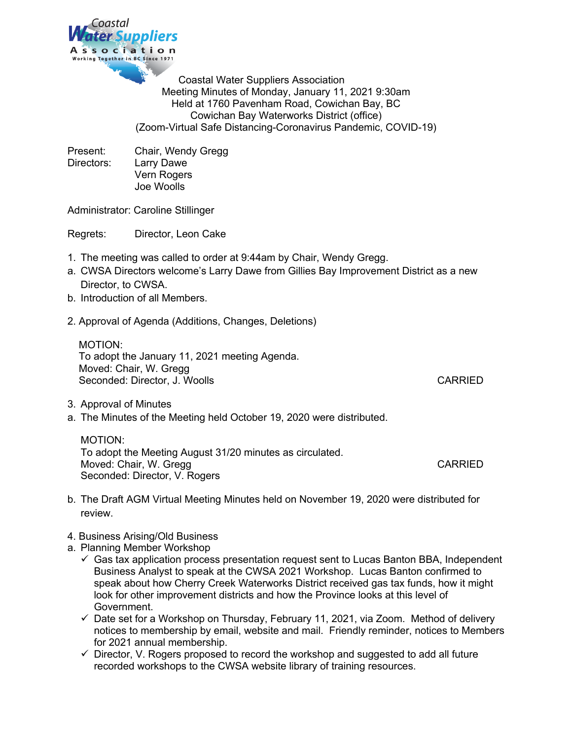

Coastal Water Suppliers Association Meeting Minutes of Monday, January 11, 2021 9:30am Held at 1760 Pavenham Road, Cowichan Bay, BC Cowichan Bay Waterworks District (office) (Zoom-Virtual Safe Distancing-Coronavirus Pandemic, COVID-19)

Present: Chair, Wendy Gregg Directors: Larry Dawe Vern Rogers Joe Woolls

Administrator: Caroline Stillinger

Regrets: Director, Leon Cake

- 1. The meeting was called to order at 9:44am by Chair, Wendy Gregg.
- a. CWSA Directors welcome's Larry Dawe from Gillies Bay Improvement District as a new Director, to CWSA.
- b. Introduction of all Members.
- 2. Approval of Agenda (Additions, Changes, Deletions)

 MOTION: To adopt the January 11, 2021 meeting Agenda. Moved: Chair, W. Gregg Seconded: Director, J. Woolls CARRIED

- 3. Approval of Minutes
- a. The Minutes of the Meeting held October 19, 2020 were distributed.

MOTION: To adopt the Meeting August 31/20 minutes as circulated. Moved: Chair, W. Gregg CARRIED CARRIED Seconded: Director, V. Rogers

- b. The Draft AGM Virtual Meeting Minutes held on November 19, 2020 were distributed for review.
- 4. Business Arising/Old Business
- a. Planning Member Workshop
	- $\checkmark$  Gas tax application process presentation request sent to Lucas Banton BBA, Independent Business Analyst to speak at the CWSA 2021 Workshop. Lucas Banton confirmed to speak about how Cherry Creek Waterworks District received gas tax funds, how it might look for other improvement districts and how the Province looks at this level of Government.
	- $\checkmark$  Date set for a Workshop on Thursday, February 11, 2021, via Zoom. Method of delivery notices to membership by email, website and mail. Friendly reminder, notices to Members for 2021 annual membership.
	- $\checkmark$  Director, V. Rogers proposed to record the workshop and suggested to add all future recorded workshops to the CWSA website library of training resources.